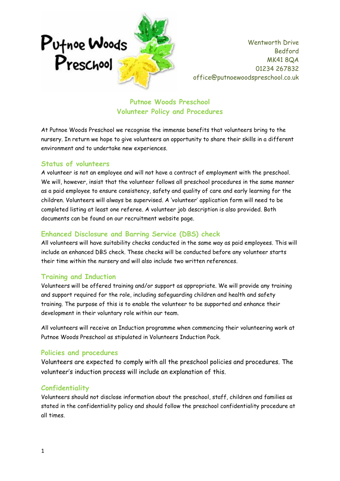

Wentworth Drive Bedford MK41 8QA 01234 267832 office@putnoewoodspreschool.co.uk

# **Putnoe Woods Preschool Volunteer Policy and Procedures**

At Putnoe Woods Preschool we recognise the immense benefits that volunteers bring to the nursery. In return we hope to give volunteers an opportunity to share their skills in a different environment and to undertake new experiences.

#### **Status of volunteers**

A volunteer is not an employee and will not have a contract of employment with the preschool. We will, however, insist that the volunteer follows all preschool procedures in the same manner as a paid employee to ensure consistency, safety and quality of care and early learning for the children. Volunteers will always be supervised. A 'volunteer' application form will need to be completed listing at least one referee. A volunteer job description is also provided. Both documents can be found on our recruitment website page.

## **Enhanced Disclosure and Barring Service (DBS) check**

All volunteers will have suitability checks conducted in the same way as paid employees. This will include an enhanced DBS check. These checks will be conducted before any volunteer starts their time within the nursery and will also include two written references.

## **Training and Induction**

Volunteers will be offered training and/or support as appropriate. We will provide any training and support required for the role, including safeguarding children and health and safety training. The purpose of this is to enable the volunteer to be supported and enhance their development in their voluntary role within our team.

All volunteers will receive an Induction programme when commencing their volunteering work at Putnoe Woods Preschool as stipulated in Volunteers Induction Pack.

## **Policies and procedures**

Volunteers are expected to comply with all the preschool policies and procedures. The volunteer's induction process will include an explanation of this.

## **Confidentiality**

Volunteers should not disclose information about the preschool, staff, children and families as stated in the confidentiality policy and should follow the preschool confidentiality procedure at all times.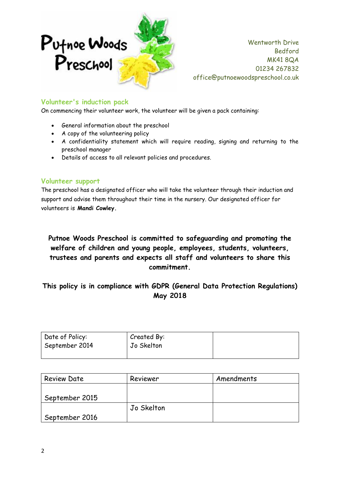

Wentworth Drive Bedford MK41 8QA 01234 267832 office@putnoewoodspreschool.co.uk

#### **Volunteer's induction pack**

On commencing their volunteer work, the volunteer will be given a pack containing:

- General information about the preschool
- A copy of the volunteering policy
- A confidentiality statement which will require reading, signing and returning to the preschool manager
- Details of access to all relevant policies and procedures.

#### **Volunteer support**

The preschool has a designated officer who will take the volunteer through their induction and support and advise them throughout their time in the nursery. Our designated officer for volunteers is **Mandi Cowley.**

**Putnoe Woods Preschool is committed to safeguarding and promoting the welfare of children and young people, employees, students, volunteers, trustees and parents and expects all staff and volunteers to share this commitment.**

# **This policy is in compliance with GDPR (General Data Protection Regulations) May 2018**

| Date of Policy:<br>September 2014 | Created By:<br>Jo Skelton |  |
|-----------------------------------|---------------------------|--|
|                                   |                           |  |

| <b>Review Date</b> | Reviewer   | Amendments |
|--------------------|------------|------------|
|                    |            |            |
| September 2015     |            |            |
|                    | Jo Skelton |            |
| September 2016     |            |            |